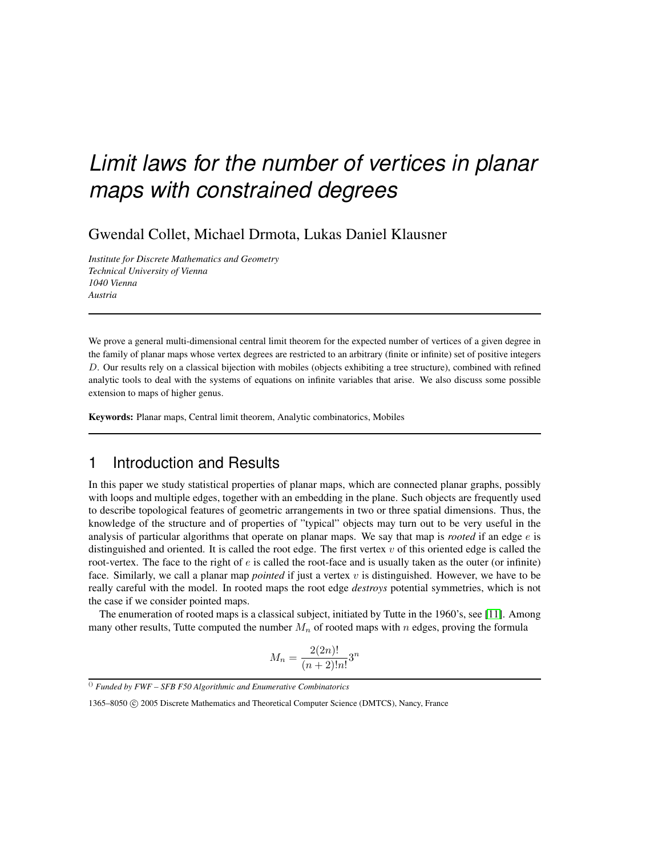# *Limit laws for the number of vertices in planar maps with constrained degrees*

Gwendal Collet, Michael Drmota, Lukas Daniel Klausner

*Institute for Discrete Mathematics and Geometry Technical University of Vienna 1040 Vienna Austria*

We prove a general multi-dimensional central limit theorem for the expected number of vertices of a given degree in the family of planar maps whose vertex degrees are restricted to an arbitrary (finite or infinite) set of positive integers D. Our results rely on a classical bijection with mobiles (objects exhibiting a tree structure), combined with refined analytic tools to deal with the systems of equations on infinite variables that arise. We also discuss some possible extension to maps of higher genus.

Keywords: Planar maps, Central limit theorem, Analytic combinatorics, Mobiles

### 1 Introduction and Results

In this paper we study statistical properties of planar maps, which are connected planar graphs, possibly with loops and multiple edges, together with an embedding in the plane. Such objects are frequently used to describe topological features of geometric arrangements in two or three spatial dimensions. Thus, the knowledge of the structure and of properties of "typical" objects may turn out to be very useful in the analysis of particular algorithms that operate on planar maps. We say that map is *rooted* if an edge e is distinguished and oriented. It is called the root edge. The first vertex  $v$  of this oriented edge is called the root-vertex. The face to the right of  $e$  is called the root-face and is usually taken as the outer (or infinite) face. Similarly, we call a planar map *pointed* if just a vertex v is distinguished. However, we have to be really careful with the model. In rooted maps the root edge *destroys* potential symmetries, which is not the case if we consider pointed maps.

The enumeration of rooted maps is a classical subject, initiated by Tutte in the 1960's, see [\[11\]](#page-14-0). Among many other results, Tutte computed the number  $M_n$  of rooted maps with n edges, proving the formula

$$
M_n = \frac{2(2n)!}{(n+2)!n!}3^n
$$

<sup>()</sup> *Funded by FWF – SFB F50 Algorithmic and Enumerative Combinatorics*

<sup>1365–8050</sup> C 2005 Discrete Mathematics and Theoretical Computer Science (DMTCS), Nancy, France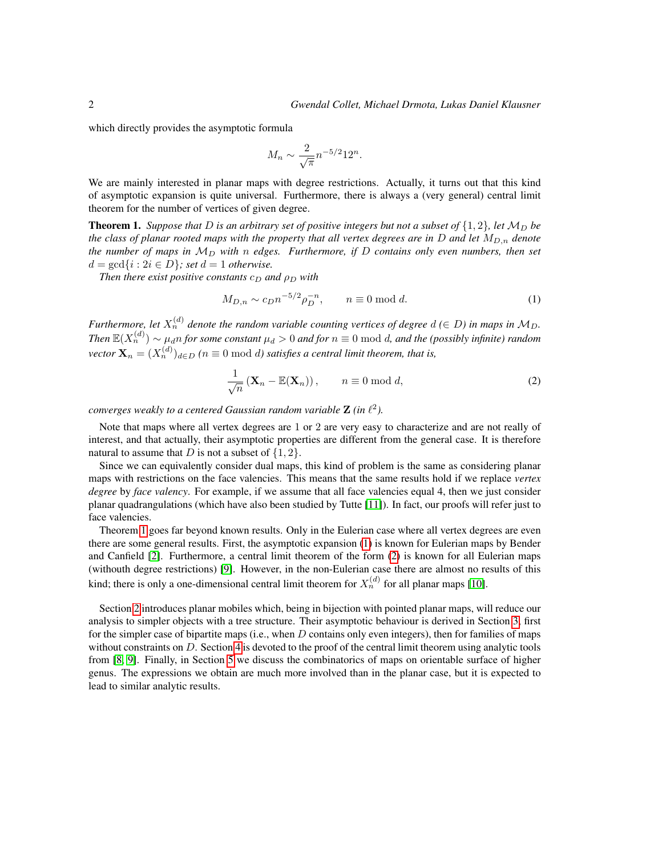which directly provides the asymptotic formula

$$
M_n \sim \frac{2}{\sqrt{\pi}} n^{-5/2} 12^n.
$$

We are mainly interested in planar maps with degree restrictions. Actually, it turns out that this kind of asymptotic expansion is quite universal. Furthermore, there is always a (very general) central limit theorem for the number of vertices of given degree.

<span id="page-1-0"></span>**Theorem 1.** *Suppose that* D *is an arbitrary set of positive integers but not a subset of*  $\{1,2\}$ *, let*  $M_D$  *be the class of planar rooted maps with the property that all vertex degrees are in* D *and let*  $M_{D,n}$  *denote the number of maps in*  $M_D$  *with* n *edges. Furthermore, if* D *contains only even numbers, then set*  $d = \gcd\{i : 2i \in D\}$ ; set  $d = 1$  otherwise.

*Then there exist positive constants*  $c_D$  *and*  $\rho_D$  *with* 

<span id="page-1-1"></span>
$$
M_{D,n} \sim c_D n^{-5/2} \rho_D^{-n}, \qquad n \equiv 0 \bmod d. \tag{1}
$$

*Furthermore, let*  $X_n^{(d)}$  denote the random variable counting vertices of degree  $d \in D$ ) in maps in  $\mathcal{M}_D$ . *Then*  $\mathbb{E}(X_n^{(d)}) \sim \mu_d n$  *for some constant*  $\mu_d > 0$  *and for*  $n \equiv 0 \bmod d$ *, and the (possibly infinite) random*  $\text{vector } \mathbf{X}_n = (X_n^{(d)})_{d \in D}$   $(n \equiv 0 \bmod d)$  satisfies a central limit theorem, that is,

<span id="page-1-2"></span>
$$
\frac{1}{\sqrt{n}}\left(\mathbf{X}_n - \mathbb{E}(\mathbf{X}_n)\right), \qquad n \equiv 0 \bmod{d},\tag{2}
$$

converges weakly to a centered Gaussian random variable  $\mathbf Z$  (in  $\ell^2$ ).

Note that maps where all vertex degrees are 1 or 2 are very easy to characterize and are not really of interest, and that actually, their asymptotic properties are different from the general case. It is therefore natural to assume that D is not a subset of  $\{1, 2\}$ .

Since we can equivalently consider dual maps, this kind of problem is the same as considering planar maps with restrictions on the face valencies. This means that the same results hold if we replace *vertex degree* by *face valency*. For example, if we assume that all face valencies equal 4, then we just consider planar quadrangulations (which have also been studied by Tutte [\[11\]](#page-14-0)). In fact, our proofs will refer just to face valencies.

Theorem [1](#page-1-0) goes far beyond known results. Only in the Eulerian case where all vertex degrees are even there are some general results. First, the asymptotic expansion [\(1\)](#page-1-1) is known for Eulerian maps by Bender and Canfield [\[2\]](#page-13-0). Furthermore, a central limit theorem of the form [\(2\)](#page-1-2) is known for all Eulerian maps (withouth degree restrictions) [\[9\]](#page-14-1). However, in the non-Eulerian case there are almost no results of this kind; there is only a one-dimensional central limit theorem for  $X_n^{(d)}$  for all planar maps [\[10\]](#page-14-2).

Section [2](#page-2-0) introduces planar mobiles which, being in bijection with pointed planar maps, will reduce our analysis to simpler objects with a tree structure. Their asymptotic behaviour is derived in Section [3,](#page-4-0) first for the simpler case of bipartite maps (i.e., when  $D$  contains only even integers), then for families of maps without constraints on D. Section [4](#page-7-0) is devoted to the proof of the central limit theorem using analytic tools from [\[8,](#page-14-3) [9\]](#page-14-1). Finally, in Section [5](#page-8-0) we discuss the combinatorics of maps on orientable surface of higher genus. The expressions we obtain are much more involved than in the planar case, but it is expected to lead to similar analytic results.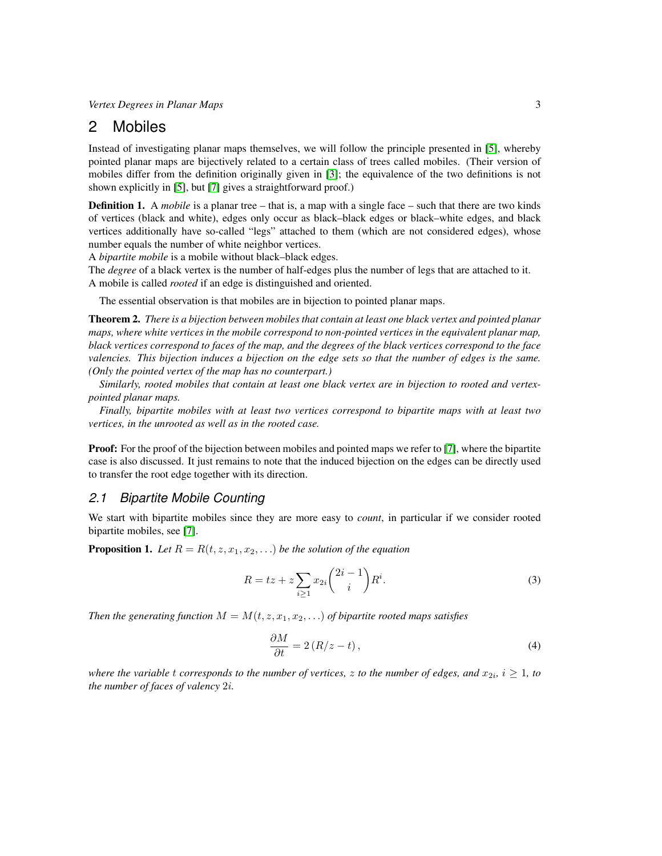### <span id="page-2-0"></span>2 Mobiles

Instead of investigating planar maps themselves, we will follow the principle presented in [\[5\]](#page-13-1), whereby pointed planar maps are bijectively related to a certain class of trees called mobiles. (Their version of mobiles differ from the definition originally given in [\[3\]](#page-13-2); the equivalence of the two definitions is not shown explicitly in [\[5\]](#page-13-1), but [\[7\]](#page-14-4) gives a straightforward proof.)

<span id="page-2-5"></span>**Definition 1.** A *mobile* is a planar tree – that is, a map with a single face – such that there are two kinds of vertices (black and white), edges only occur as black–black edges or black–white edges, and black vertices additionally have so-called "legs" attached to them (which are not considered edges), whose number equals the number of white neighbor vertices.

A *bipartite mobile* is a mobile without black–black edges.

The *degree* of a black vertex is the number of half-edges plus the number of legs that are attached to it. A mobile is called *rooted* if an edge is distinguished and oriented.

The essential observation is that mobiles are in bijection to pointed planar maps.

<span id="page-2-2"></span>Theorem 2. *There is a bijection between mobiles that contain at least one black vertex and pointed planar maps, where white vertices in the mobile correspond to non-pointed vertices in the equivalent planar map, black vertices correspond to faces of the map, and the degrees of the black vertices correspond to the face valencies. This bijection induces a bijection on the edge sets so that the number of edges is the same. (Only the pointed vertex of the map has no counterpart.)*

*Similarly, rooted mobiles that contain at least one black vertex are in bijection to rooted and vertexpointed planar maps.*

*Finally, bipartite mobiles with at least two vertices correspond to bipartite maps with at least two vertices, in the unrooted as well as in the rooted case.*

**Proof:** For the proof of the bijection between mobiles and pointed maps we refer to [\[7\]](#page-14-4), where the bipartite case is also discussed. It just remains to note that the induced bijection on the edges can be directly used to transfer the root edge together with its direction.

#### *2.1 Bipartite Mobile Counting*

We start with bipartite mobiles since they are more easy to *count*, in particular if we consider rooted bipartite mobiles, see [\[7\]](#page-14-4).

<span id="page-2-3"></span>**Proposition 1.** Let  $R = R(t, z, x_1, x_2, ...)$  be the solution of the equation

$$
R = tz + z \sum_{i \ge 1} x_{2i} {2i - 1 \choose i} R^i.
$$
 (3)

*Then the generating function*  $M = M(t, z, x_1, x_2, ...)$  *of bipartite rooted maps satisfies* 

<span id="page-2-4"></span><span id="page-2-1"></span>
$$
\frac{\partial M}{\partial t} = 2\left(R/z - t\right),\tag{4}
$$

*where the variable*  $t$  *corresponds to the number of vertices,*  $z$  *to the number of edges, and*  $x_{2i}$ *,*  $i \geq 1$ *, to the number of faces of valency* 2i*.*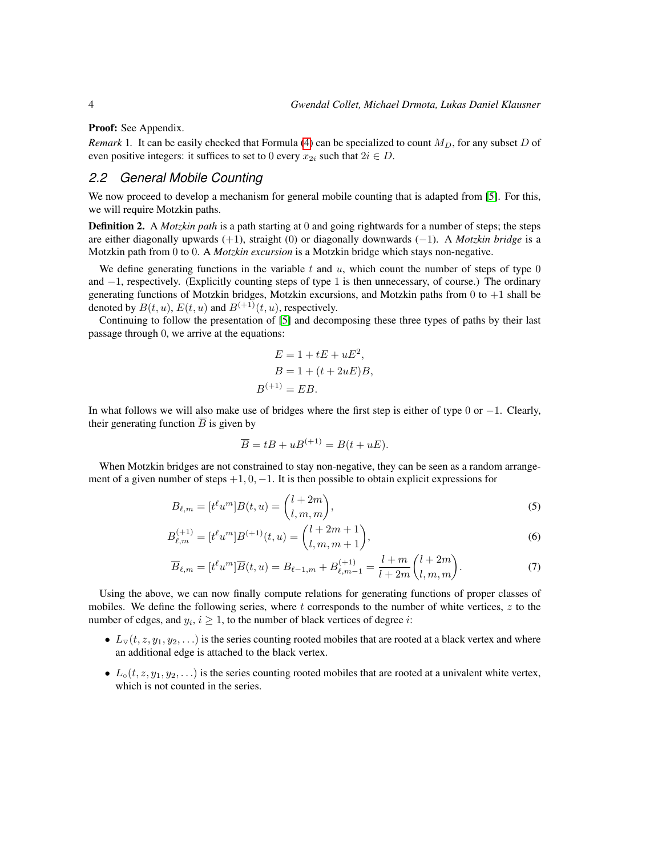Proof: See Appendix.

*Remark* 1. It can be easily checked that Formula [\(4\)](#page-2-1) can be specialized to count  $M_D$ , for any subset D of even positive integers: it suffices to set to 0 every  $x_{2i}$  such that  $2i \in D$ .

### *2.2 General Mobile Counting*

We now proceed to develop a mechanism for general mobile counting that is adapted from [\[5\]](#page-13-1). For this, we will require Motzkin paths.

Definition 2. A *Motzkin path* is a path starting at 0 and going rightwards for a number of steps; the steps are either diagonally upwards (+1), straight (0) or diagonally downwards (−1). A *Motzkin bridge* is a Motzkin path from 0 to 0. A *Motzkin excursion* is a Motzkin bridge which stays non-negative.

We define generating functions in the variable t and  $u$ , which count the number of steps of type 0 and −1, respectively. (Explicitly counting steps of type 1 is then unnecessary, of course.) The ordinary generating functions of Motzkin bridges, Motzkin excursions, and Motzkin paths from  $0$  to  $+1$  shall be denoted by  $B(t, u)$ ,  $E(t, u)$  and  $B^{(+1)}(t, u)$ , respectively.

Continuing to follow the presentation of [\[5\]](#page-13-1) and decomposing these three types of paths by their last passage through 0, we arrive at the equations:

$$
E = 1 + tE + uE2,
$$
  
\n
$$
B = 1 + (t + 2uE)B,
$$
  
\n
$$
B^{(+1)} = EB.
$$

In what follows we will also make use of bridges where the first step is either of type 0 or  $-1$ . Clearly, their generating function  $\overline{B}$  is given by

<span id="page-3-1"></span><span id="page-3-0"></span>
$$
\overline{B} = tB + uB^{(+1)} = B(t + uE).
$$

When Motzkin bridges are not constrained to stay non-negative, they can be seen as a random arrangement of a given number of steps  $+1, 0, -1$ . It is then possible to obtain explicit expressions for

$$
B_{\ell,m} = [t^{\ell}u^m]B(t,u) = \binom{l+2m}{l,m,m},\tag{5}
$$

$$
B_{\ell,m}^{(+1)} = [t^{\ell}u^m]B^{(+1)}(t,u) = \binom{l+2m+1}{l,m,m+1},\tag{6}
$$

$$
\overline{B}_{\ell,m} = [t^{\ell}u^m]\overline{B}(t,u) = B_{\ell-1,m} + B_{\ell,m-1}^{(+1)} = \frac{l+m}{l+2m} \binom{l+2m}{l,m,m}.
$$
\n(7)

Using the above, we can now finally compute relations for generating functions of proper classes of mobiles. We define the following series, where  $t$  corresponds to the number of white vertices,  $z$  to the number of edges, and  $y_i$ ,  $i \geq 1$ , to the number of black vertices of degree i:

- $L_{\nabla}(t, z, y_1, y_2, \ldots)$  is the series counting rooted mobiles that are rooted at a black vertex and where an additional edge is attached to the black vertex.
- $L_0(t, z, y_1, y_2, \ldots)$  is the series counting rooted mobiles that are rooted at a univalent white vertex, which is not counted in the series.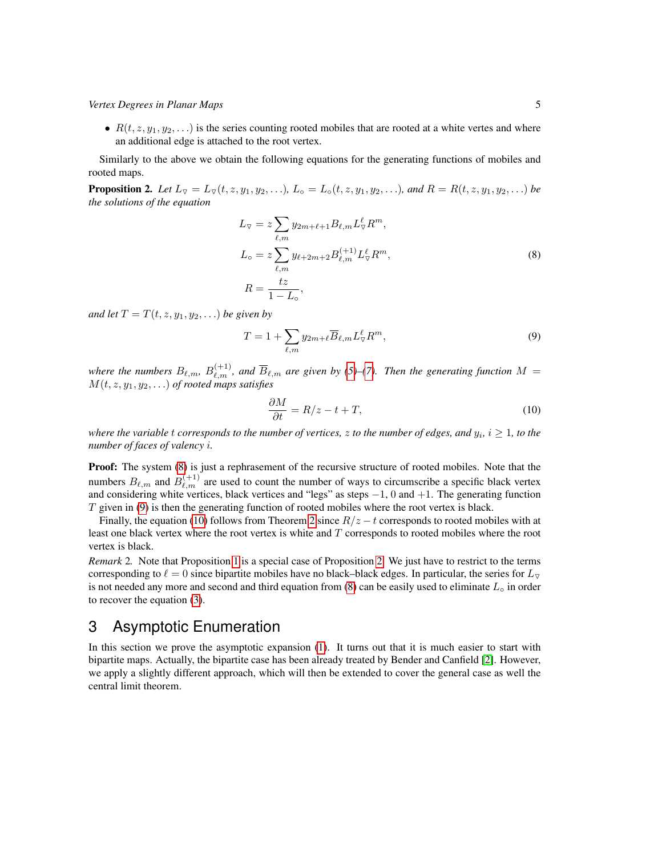•  $R(t, z, y_1, y_2, \ldots)$  is the series counting rooted mobiles that are rooted at a white vertes and where an additional edge is attached to the root vertex.

Similarly to the above we obtain the following equations for the generating functions of mobiles and rooted maps.

<span id="page-4-4"></span>**Proposition 2.** Let  $L_{\nabla} = L_{\nabla}(t, z, y_1, y_2, \ldots)$ ,  $L_{\nabla} = L_{\nabla}(t, z, y_1, y_2, \ldots)$ , and  $R = R(t, z, y_1, y_2, \ldots)$  be *the solutions of the equation*

<span id="page-4-1"></span>
$$
L_{\nabla} = z \sum_{\ell,m} y_{2m+\ell+1} B_{\ell,m} L_{\nabla}^{\ell} R^m,
$$
  
\n
$$
L_{\circ} = z \sum_{\ell,m} y_{\ell+2m+2} B_{\ell,m}^{(+1)} L_{\nabla}^{\ell} R^m,
$$
  
\n
$$
R = \frac{tz}{1 - L_{\circ}},
$$
\n(8)

*and let*  $T = T(t, z, y_1, y_2, ...)$  *be given by* 

<span id="page-4-2"></span>
$$
T = 1 + \sum_{\ell,m} y_{2m+\ell} \overline{B}_{\ell,m} L_{\nabla}^{\ell} R^m,
$$
\n(9)

where the numbers  $B_{\ell,m}$ ,  $B_{\ell,m}^{(+1)}$ , and  $\overline{B}_{\ell,m}$  are given by [\(5\)](#page-3-0)–[\(7\)](#page-3-1). Then the generating function  $M =$  $M(t, z, y_1, y_2, \ldots)$  *of rooted maps satisfies* 

<span id="page-4-3"></span>
$$
\frac{\partial M}{\partial t} = R/z - t + T,\tag{10}
$$

where the variable  $t$  corresponds to the number of vertices,  $z$  to the number of edges, and  $y_i$ ,  $i\geq 1$ , to the *number of faces of valency* i*.*

**Proof:** The system [\(8\)](#page-4-1) is just a rephrasement of the recursive structure of rooted mobiles. Note that the numbers  $B_{\ell,m}$  and  $B_{\ell,m}^{(+1)}$  are used to count the number of ways to circumscribe a specific black vertex and considering white vertices, black vertices and "legs" as steps −1, 0 and +1. The generating function  $T$  given in [\(9\)](#page-4-2) is then the generating function of rooted mobiles where the root vertex is black.

Finally, the equation [\(10\)](#page-4-3) follows from Theorem [2](#page-2-2) since  $R/z - t$  corresponds to rooted mobiles with at least one black vertex where the root vertex is white and T corresponds to rooted mobiles where the root vertex is black.

*Remark* 2*.* Note that Proposition [1](#page-2-3) is a special case of Proposition [2.](#page-4-4) We just have to restrict to the terms corresponding to  $\ell = 0$  since bipartite mobiles have no black–black edges. In particular, the series for  $L_{\nabla}$ is not needed any more and second and third equation from  $(8)$  can be easily used to eliminate  $L_{\circ}$  in order to recover the equation [\(3\)](#page-2-4).

# <span id="page-4-0"></span>3 Asymptotic Enumeration

In this section we prove the asymptotic expansion [\(1\)](#page-1-1). It turns out that it is much easier to start with bipartite maps. Actually, the bipartite case has been already treated by Bender and Canfield [\[2\]](#page-13-0). However, we apply a slightly different approach, which will then be extended to cover the general case as well the central limit theorem.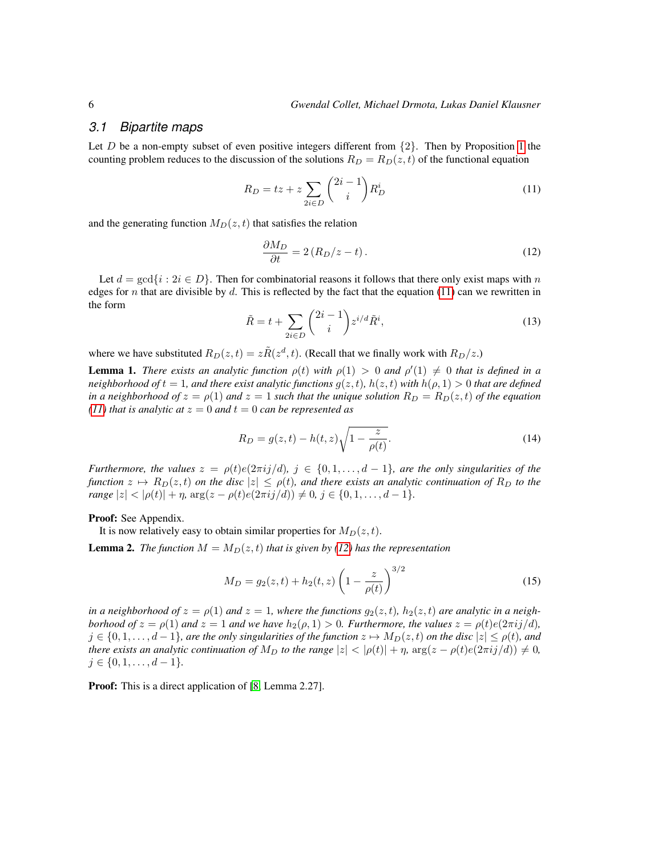#### *3.1 Bipartite maps*

Let D be a non-empty subset of even positive integers different from  $\{2\}$ . Then by Proposition [1](#page-2-3) the counting problem reduces to the discussion of the solutions  $R_D = R_D(z, t)$  of the functional equation

$$
R_D = tz + z \sum_{2i \in D} \binom{2i-1}{i} R_D^i \tag{11}
$$

and the generating function  $M_D(z, t)$  that satisfies the relation

<span id="page-5-1"></span><span id="page-5-0"></span>
$$
\frac{\partial M_D}{\partial t} = 2\left(R_D/z - t\right). \tag{12}
$$

<span id="page-5-5"></span>Let  $d = \gcd\{i : 2i \in D\}$ . Then for combinatorial reasons it follows that there only exist maps with n edges for n that are divisible by d. This is reflected by the fact that the equation [\(11\)](#page-5-0) can we rewritten in the form

$$
\tilde{R} = t + \sum_{2i \in D} \binom{2i-1}{i} z^{i/d} \tilde{R}^i,\tag{13}
$$

where we have substituted  $R_D(z,t) = z\tilde{R}(z^d, t)$ . (Recall that we finally work with  $R_D/z$ .)

<span id="page-5-3"></span>**Lemma 1.** *There exists an analytic function*  $\rho(t)$  *with*  $\rho(1) > 0$  *and*  $\rho'(1) \neq 0$  *that is defined in a neighborhood of*  $t = 1$ *, and there exist analytic functions*  $g(z, t)$ *, h*( $z, t$ *) with*  $h(\rho, 1) > 0$  *that are defined in a neighborhood of*  $z = \rho(1)$  *and*  $z = 1$  *such that the unique solution*  $R_D = R_D(z, t)$  *of the equation [\(11\)](#page-5-0) that is analytic at*  $z = 0$  *and*  $t = 0$  *can be represented as* 

<span id="page-5-4"></span>
$$
R_D = g(z, t) - h(t, z) \sqrt{1 - \frac{z}{\rho(t)}}.
$$
\n(14)

*Furthermore, the values*  $z = \rho(t)e(2\pi i j/d)$ ,  $j \in \{0, 1, \ldots, d-1\}$ , are the only singularities of the *function*  $z \mapsto R_D(z, t)$  *on the disc*  $|z| \leq \rho(t)$ *, and there exists an analytic continuation of*  $R_D$  *to the range*  $|z| < |\rho(t)| + \eta$ ,  $\arg(z - \rho(t)e(2\pi i j/d)) \neq 0$ ,  $j \in \{0, 1, ..., d - 1\}$ *.* 

Proof: See Appendix.

It is now relatively easy to obtain similar properties for  $M_D(z, t)$ .

<span id="page-5-2"></span>**Lemma 2.** *The function*  $M = M_D(z, t)$  *that is given by [\(12\)](#page-5-1) has the representation* 

$$
M_D = g_2(z, t) + h_2(t, z) \left(1 - \frac{z}{\rho(t)}\right)^{3/2}
$$
\n(15)

*in a neighborhood of*  $z = \rho(1)$  *and*  $z = 1$ *, where the functions*  $g_2(z, t)$ *, h*<sub>2</sub> $(z, t)$  *are analytic in a neighborhood of*  $z = \rho(1)$  *and*  $z = 1$  *and we have*  $h_2(\rho, 1) > 0$ *. Furthermore, the values*  $z = \rho(t)e(2\pi i j/d)$ *,*  $j \in \{0, 1, \ldots, d-1\}$ *, are the only singularities of the function*  $z \mapsto M_D(z, t)$  *on the disc*  $|z| \le \rho(t)$ *, and there exists an analytic continuation of*  $M_D$  *to the range*  $|z| < |\rho(t)| + \eta$ ,  $\arg(z - \rho(t)e(2\pi i j/d)) \neq 0$ ,  $j \in \{0, 1, \ldots, d-1\}.$ 

**Proof:** This is a direct application of [\[8,](#page-14-3) Lemma 2.27].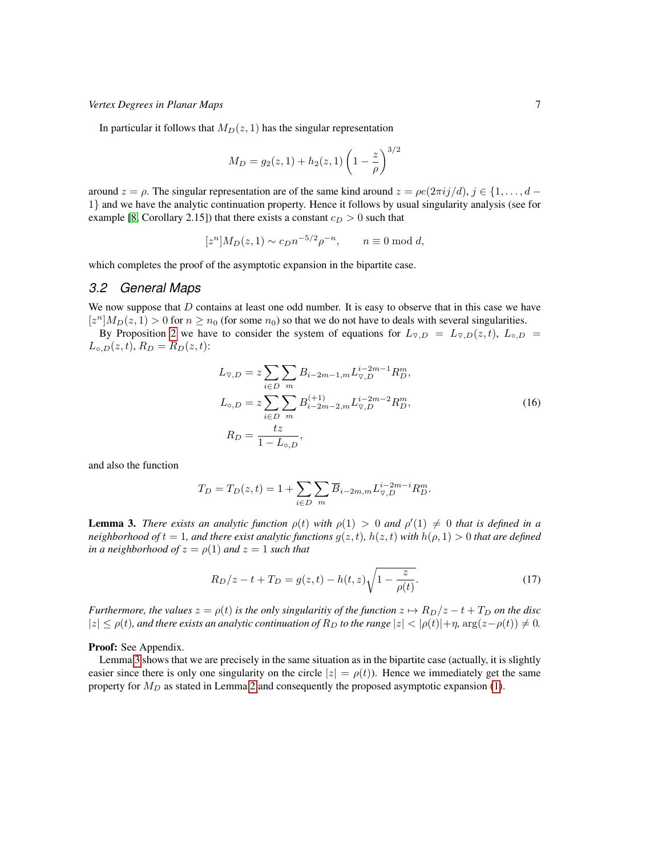In particular it follows that  $M_D(z, 1)$  has the singular representation

$$
M_D = g_2(z, 1) + h_2(z, 1) \left(1 - \frac{z}{\rho}\right)^{3/2}
$$

around  $z = \rho$ . The singular representation are of the same kind around  $z = \rho e(2\pi i j/d)$ ,  $j \in \{1, \ldots, d - 1\}$ 1} and we have the analytic continuation property. Hence it follows by usual singularity analysis (see for example [\[8,](#page-14-3) Corollary 2.15]) that there exists a constant  $c_D > 0$  such that

$$
[zn]MD(z, 1) \sim cDn-5/2\rho-n, \qquad n \equiv 0 \bmod d,
$$

which completes the proof of the asymptotic expansion in the bipartite case.

#### *3.2 General Maps*

We now suppose that  $D$  contains at least one odd number. It is easy to observe that in this case we have  $[z^n]M_D(z, 1) > 0$  for  $n \ge n_0$  (for some  $n_0$ ) so that we do not have to deals with several singularities.

By Proposition [2](#page-4-4) we have to consider the system of equations for  $L_{\nabla,D} = L_{\nabla,D}(z,t)$ ,  $L_{\circ,D} =$  $L_{\circ,D}(z,t), R_D = R_D(z,t)$ :

<span id="page-6-1"></span>
$$
L_{\nabla,D} = z \sum_{i \in D} \sum_{m} B_{i-2m-1,m} L_{\nabla,D}^{i-2m-1} R_D^m,
$$
  
\n
$$
L_{\circ,D} = z \sum_{i \in D} \sum_{m} B_{i-2m-2,m}^{(+1)} L_{\nabla,D}^{i-2m-2} R_D^m,
$$
  
\n
$$
R_D = \frac{tz}{1 - L_{\circ,D}},
$$
\n(16)

and also the function

$$
T_D = T_D(z, t) = 1 + \sum_{i \in D} \sum_m \overline{B}_{i-2m,m} L_{\nabla, D}^{i-2m-i} R_D^m.
$$

<span id="page-6-0"></span>**Lemma 3.** *There exists an analytic function*  $\rho(t)$  *with*  $\rho(1) > 0$  *and*  $\rho'(1) \neq 0$  *that is defined in a neighborhood of*  $t = 1$ *, and there exist analytic functions*  $g(z, t)$ *,*  $h(z, t)$  *with*  $h(\rho, 1) > 0$  *that are defined in a neighborhood of*  $z = \rho(1)$  *and*  $z = 1$  *such that* 

<span id="page-6-2"></span>
$$
R_D/z - t + T_D = g(z, t) - h(t, z)\sqrt{1 - \frac{z}{\rho(t)}}.\t(17)
$$

*Furthermore, the values*  $z = \rho(t)$  *is the only singularitiy of the function*  $z \mapsto R_D/z - t + T_D$  *on the disc*  $|z| \leq \rho(t)$ , and there exists an analytic continuation of  $R_D$  to the range  $|z| < |\rho(t)| + \eta$ ,  $\arg(z - \rho(t)) \neq 0$ .

Proof: See Appendix.

Lemma [3](#page-6-0) shows that we are precisely in the same situation as in the bipartite case (actually, it is slightly easier since there is only one singularity on the circle  $|z| = \rho(t)$ . Hence we immediately get the same property for  $M_D$  as stated in Lemma [2](#page-5-2) and consequently the proposed asymptotic expansion [\(1\)](#page-1-1).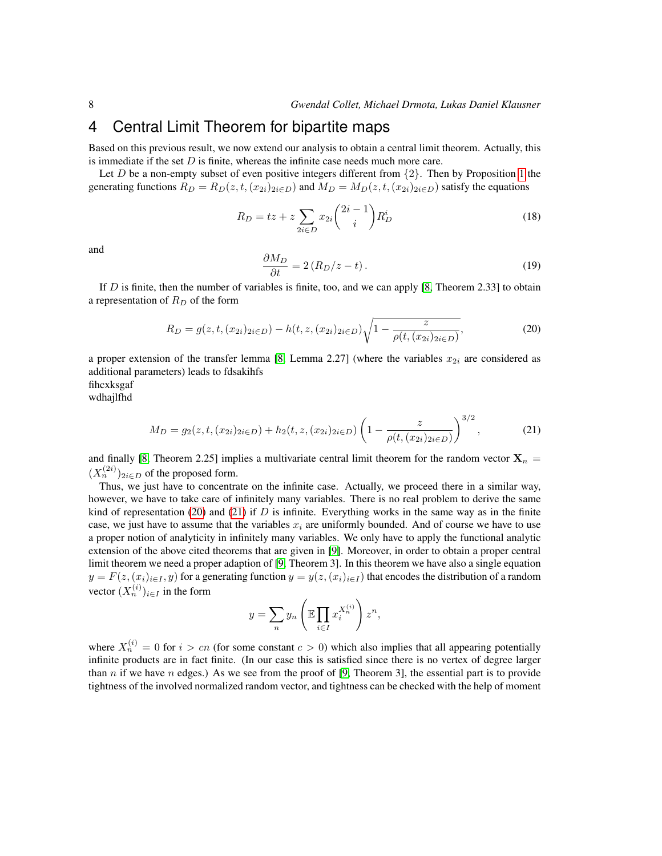### <span id="page-7-0"></span>4 Central Limit Theorem for bipartite maps

Based on this previous result, we now extend our analysis to obtain a central limit theorem. Actually, this is immediate if the set  $D$  is finite, whereas the infinite case needs much more care.

Let D be a non-empty subset of even positive integers different from  $\{2\}$ . Then by Proposition [1](#page-2-3) the generating functions  $R_D = R_D(z, t, (x_{2i})_{2i \in D})$  and  $M_D = M_D(z, t, (x_{2i})_{2i \in D})$  satisfy the equations

$$
R_D = tz + z \sum_{2i \in D} x_{2i} {2i - 1 \choose i} R_D^i
$$
 (18)

and

<span id="page-7-1"></span>
$$
\frac{\partial M_D}{\partial t} = 2\left(R_D/z - t\right). \tag{19}
$$

If D is finite, then the number of variables is finite, too, and we can apply [\[8,](#page-14-3) Theorem 2.33] to obtain a representation of  $R_D$  of the form

$$
R_D = g(z, t, (x_{2i})_{2i \in D}) - h(t, z, (x_{2i})_{2i \in D}) \sqrt{1 - \frac{z}{\rho(t, (x_{2i})_{2i \in D})}},
$$
(20)

a proper extension of the transfer lemma [\[8,](#page-14-3) Lemma 2.27] (where the variables  $x_{2i}$  are considered as additional parameters) leads to fdsakihfs

fihcxksgaf

wdhajlfhd

<span id="page-7-2"></span>
$$
M_D = g_2(z, t, (x_{2i})_{2i \in D}) + h_2(t, z, (x_{2i})_{2i \in D}) \left(1 - \frac{z}{\rho(t, (x_{2i})_{2i \in D})}\right)^{3/2},\tag{21}
$$

and finally [\[8,](#page-14-3) Theorem 2.25] implies a multivariate central limit theorem for the random vector  $X_n$  =  $(X_n^{(2i)})_{2i \in D}$  of the proposed form.

Thus, we just have to concentrate on the infinite case. Actually, we proceed there in a similar way, however, we have to take care of infinitely many variables. There is no real problem to derive the same kind of representation [\(20\)](#page-7-1) and [\(21\)](#page-7-2) if  $D$  is infinite. Everything works in the same way as in the finite case, we just have to assume that the variables  $x_i$  are uniformly bounded. And of course we have to use a proper notion of analyticity in infinitely many variables. We only have to apply the functional analytic extension of the above cited theorems that are given in [\[9\]](#page-14-1). Moreover, in order to obtain a proper central limit theorem we need a proper adaption of [\[9,](#page-14-1) Theorem 3]. In this theorem we have also a single equation  $y = F(z,(x_i)_{i\in I}, y)$  for a generating function  $y = y(z,(x_i)_{i\in I})$  that encodes the distribution of a random vector  $(X_n^{(i)})_{i \in I}$  in the form

$$
y = \sum_{n} y_n \left( \mathbb{E} \prod_{i \in I} x_i^{X_i^{(i)}} \right) z^n,
$$

where  $X_n^{(i)} = 0$  for  $i > cn$  (for some constant  $c > 0$ ) which also implies that all appearing potentially infinite products are in fact finite. (In our case this is satisfied since there is no vertex of degree larger than n if we have n edges.) As we see from the proof of [\[9,](#page-14-1) Theorem 3], the essential part is to provide tightness of the involved normalized random vector, and tightness can be checked with the help of moment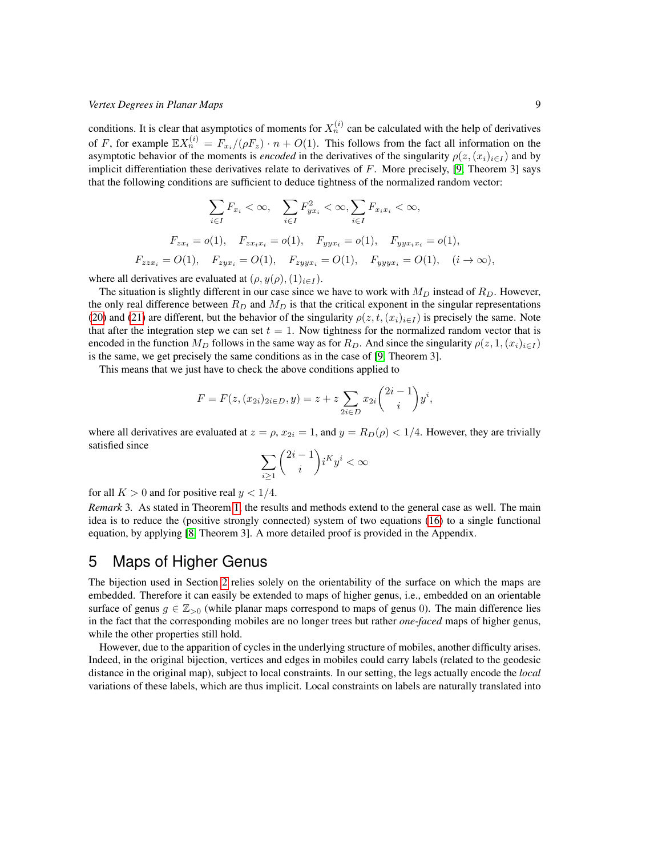conditions. It is clear that asymptotics of moments for  $X_n^{(i)}$  can be calculated with the help of derivatives of F, for example  $\mathbb{E}[X_n^{(i)}] = F_{x_i}/(\rho F_z) \cdot n + O(1)$ . This follows from the fact all information on the asymptotic behavior of the moments is *encoded* in the derivatives of the singularity  $\rho(z,(x_i)_{i\in I})$  and by implicit differentiation these derivatives relate to derivatives of  $F$ . More precisely, [\[9,](#page-14-1) Theorem 3] says that the following conditions are sufficient to deduce tightness of the normalized random vector:

$$
\sum_{i \in I} F_{x_i} < \infty, \quad \sum_{i \in I} F_{yx_i}^2 < \infty, \sum_{i \in I} F_{x_i x_i} < \infty,
$$
\n
$$
F_{zx_i} = o(1), \quad F_{zx_i x_i} = o(1), \quad F_{yyx_i} = o(1), \quad F_{yyx_i x_i} = o(1),
$$
\n
$$
F_{zzx_i} = O(1), \quad F_{zyx_i} = O(1), \quad F_{zyy x_i} = O(1), \quad F_{yyy x_i} = O(1), \quad (i \to \infty),
$$

where all derivatives are evaluated at  $(\rho, y(\rho), (1)_{i \in I})$ .

The situation is slightly different in our case since we have to work with  $M_D$  instead of  $R_D$ . However, the only real difference between  $R_D$  and  $M_D$  is that the critical exponent in the singular representations [\(20\)](#page-7-1) and [\(21\)](#page-7-2) are different, but the behavior of the singularity  $\rho(z, t, (x_i)_{i \in I})$  is precisely the same. Note that after the integration step we can set  $t = 1$ . Now tightness for the normalized random vector that is encoded in the function  $M_D$  follows in the same way as for  $R_D$ . And since the singularity  $\rho(z, 1, (x_i)_{i\in I})$ is the same, we get precisely the same conditions as in the case of [\[9,](#page-14-1) Theorem 3].

This means that we just have to check the above conditions applied to

$$
F = F(z, (x_{2i})_{2i \in D}, y) = z + z \sum_{2i \in D} x_{2i} {2i - 1 \choose i} y^{i},
$$

where all derivatives are evaluated at  $z = \rho$ ,  $x_{2i} = 1$ , and  $y = R_D(\rho) < 1/4$ . However, they are trivially satisfied since

$$
\sum_{i\geq 1} \binom{2i-1}{i} i^K y^i < \infty
$$

for all  $K > 0$  and for positive real  $y < 1/4$ .

*Remark* 3*.* As stated in Theorem [1,](#page-1-0) the results and methods extend to the general case as well. The main idea is to reduce the (positive strongly connected) system of two equations [\(16\)](#page-6-1) to a single functional equation, by applying [\[8,](#page-14-3) Theorem 3]. A more detailed proof is provided in the Appendix.

# <span id="page-8-0"></span>5 Maps of Higher Genus

The bijection used in Section [2](#page-2-0) relies solely on the orientability of the surface on which the maps are embedded. Therefore it can easily be extended to maps of higher genus, i.e., embedded on an orientable surface of genus  $g \in \mathbb{Z}_{>0}$  (while planar maps correspond to maps of genus 0). The main difference lies in the fact that the corresponding mobiles are no longer trees but rather *one-faced* maps of higher genus, while the other properties still hold.

However, due to the apparition of cycles in the underlying structure of mobiles, another difficulty arises. Indeed, in the original bijection, vertices and edges in mobiles could carry labels (related to the geodesic distance in the original map), subject to local constraints. In our setting, the legs actually encode the *local* variations of these labels, which are thus implicit. Local constraints on labels are naturally translated into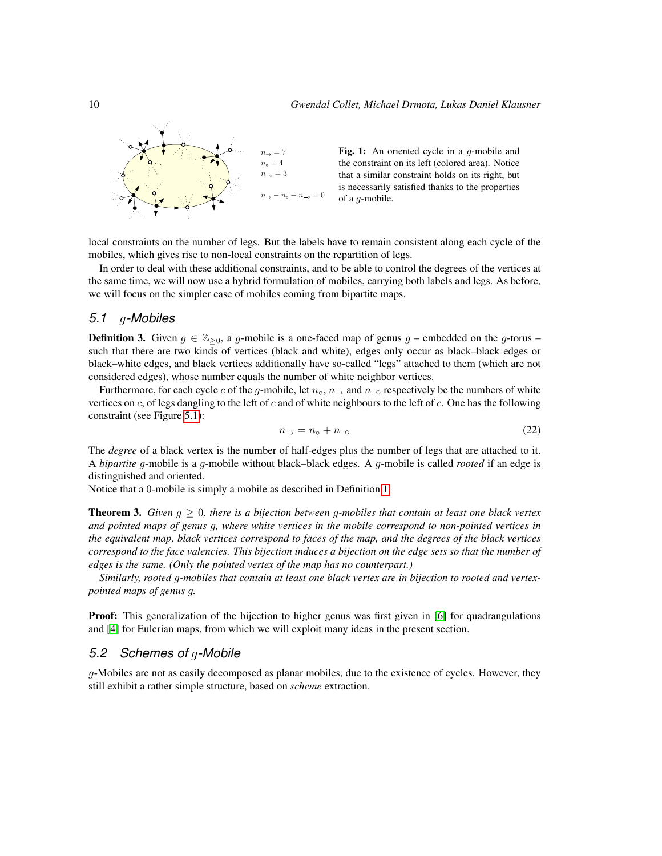

local constraints on the number of legs. But the labels have to remain consistent along each cycle of the mobiles, which gives rise to non-local constraints on the repartition of legs.

In order to deal with these additional constraints, and to be able to control the degrees of the vertices at the same time, we will now use a hybrid formulation of mobiles, carrying both labels and legs. As before, we will focus on the simpler case of mobiles coming from bipartite maps.

### *5.1* g*-Mobiles*

**Definition 3.** Given  $g \in \mathbb{Z}_{\geq 0}$ , a g-mobile is a one-faced map of genus g – embedded on the g-torus – such that there are two kinds of vertices (black and white), edges only occur as black–black edges or black–white edges, and black vertices additionally have so-called "legs" attached to them (which are not considered edges), whose number equals the number of white neighbor vertices.

Furthermore, for each cycle c of the g-mobile, let  $n_0$ ,  $n_{\rightarrow}$  and  $n_{\rightarrow}$  respectively be the numbers of white vertices on  $c$ , of legs dangling to the left of  $c$  and of white neighbours to the left of  $c$ . One has the following constraint (see Figure [5.1\)](#page-9-0):

<span id="page-9-0"></span>
$$
n_{\rightarrow} = n_{\circ} + n_{\neg \circ}
$$
 (22)

The *degree* of a black vertex is the number of half-edges plus the number of legs that are attached to it. A *bipartite* g-mobile is a g-mobile without black–black edges. A g-mobile is called *rooted* if an edge is distinguished and oriented.

Notice that a 0-mobile is simply a mobile as described in Definition [1.](#page-2-5)

<span id="page-9-1"></span>Theorem 3. *Given* g ≥ 0*, there is a bijection between* g*-mobiles that contain at least one black vertex and pointed maps of genus* g*, where white vertices in the mobile correspond to non-pointed vertices in the equivalent map, black vertices correspond to faces of the map, and the degrees of the black vertices correspond to the face valencies. This bijection induces a bijection on the edge sets so that the number of edges is the same. (Only the pointed vertex of the map has no counterpart.)*

*Similarly, rooted* g*-mobiles that contain at least one black vertex are in bijection to rooted and vertexpointed maps of genus* g*.*

**Proof:** This generalization of the bijection to higher genus was first given in [\[6\]](#page-14-5) for quadrangulations and [\[4\]](#page-13-3) for Eulerian maps, from which we will exploit many ideas in the present section.

#### *5.2 Schemes of* g*-Mobile*

g-Mobiles are not as easily decomposed as planar mobiles, due to the existence of cycles. However, they still exhibit a rather simple structure, based on *scheme* extraction.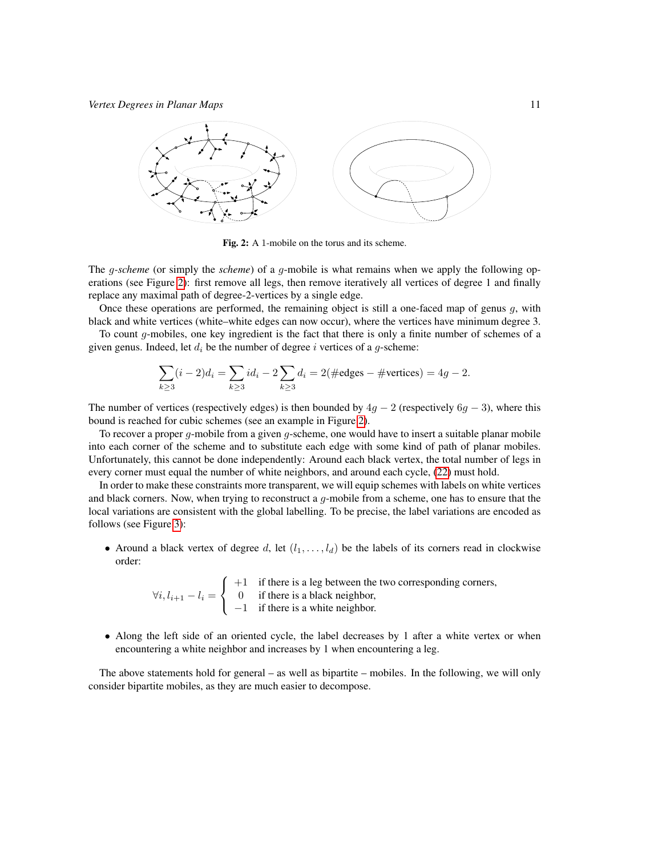

<span id="page-10-0"></span>Fig. 2: A 1-mobile on the torus and its scheme.

The *q-scheme* (or simply the *scheme*) of a *q*-mobile is what remains when we apply the following operations (see Figure [2\)](#page-10-0): first remove all legs, then remove iteratively all vertices of degree 1 and finally replace any maximal path of degree-2-vertices by a single edge.

Once these operations are performed, the remaining object is still a one-faced map of genus  $g$ , with black and white vertices (white–white edges can now occur), where the vertices have minimum degree 3.

To count  $q$ -mobiles, one key ingredient is the fact that there is only a finite number of schemes of a given genus. Indeed, let  $d_i$  be the number of degree i vertices of a g-scheme:

$$
\sum_{k\geq 3} (i-2)d_i = \sum_{k\geq 3} id_i - 2\sum_{k\geq 3} d_i = 2(\text{\#edges}-\text{\#vertices}) = 4g - 2.
$$

The number of vertices (respectively edges) is then bounded by  $4g - 2$  (respectively  $6g - 3$ ), where this bound is reached for cubic schemes (see an example in Figure [2\)](#page-10-0).

To recover a proper  $q$ -mobile from a given  $q$ -scheme, one would have to insert a suitable planar mobile into each corner of the scheme and to substitute each edge with some kind of path of planar mobiles. Unfortunately, this cannot be done independently: Around each black vertex, the total number of legs in every corner must equal the number of white neighbors, and around each cycle, [\(22\)](#page-9-0) must hold.

In order to make these constraints more transparent, we will equip schemes with labels on white vertices and black corners. Now, when trying to reconstruct a  $g$ -mobile from a scheme, one has to ensure that the local variations are consistent with the global labelling. To be precise, the label variations are encoded as follows (see Figure [3\)](#page-11-0):

• Around a black vertex of degree d, let  $(l_1, \ldots, l_d)$  be the labels of its corners read in clockwise order:

> $\forall i, l_{i+1} - l_i =$  $\sqrt{ }$ J  $\mathcal{L}$  $+1$  if there is a leg between the two corresponding corners, 0 if there is a black neighbor, −1 if there is a white neighbor.

• Along the left side of an oriented cycle, the label decreases by 1 after a white vertex or when encountering a white neighbor and increases by 1 when encountering a leg.

The above statements hold for general – as well as bipartite – mobiles. In the following, we will only consider bipartite mobiles, as they are much easier to decompose.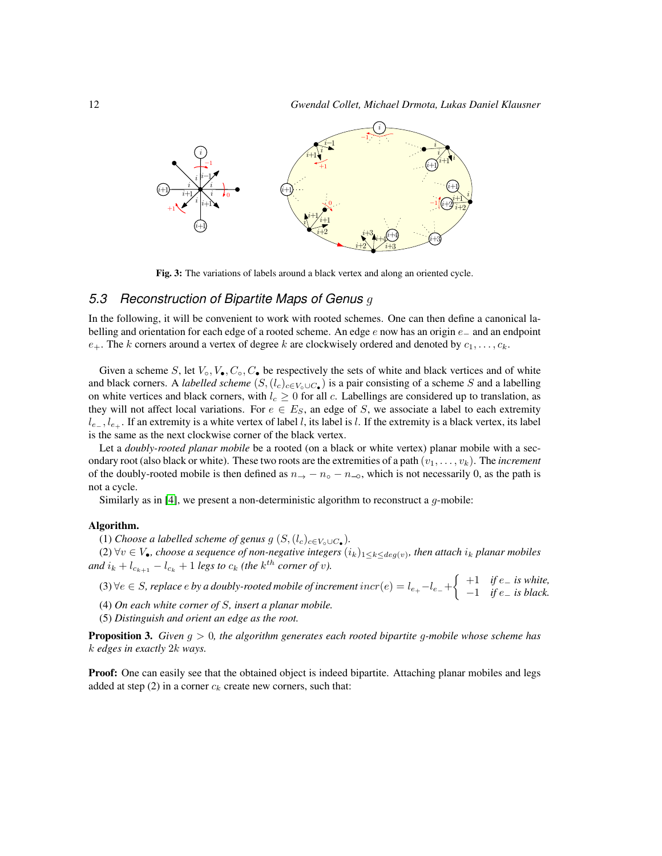

<span id="page-11-0"></span>Fig. 3: The variations of labels around a black vertex and along an oriented cycle.

### *5.3 Reconstruction of Bipartite Maps of Genus* g

In the following, it will be convenient to work with rooted schemes. One can then define a canonical labelling and orientation for each edge of a rooted scheme. An edge e now has an origin e\_ and an endpoint  $e_+$ . The k corners around a vertex of degree k are clockwisely ordered and denoted by  $c_1, \ldots, c_k$ .

Given a scheme S, let  $V_0$ ,  $V_{\bullet}$ ,  $C_0$ ,  $C_{\bullet}$  be respectively the sets of white and black vertices and of white and black corners. A *labelled scheme*  $(S, (l_c)_{c \in V_o \cup C_{\bullet}})$  is a pair consisting of a scheme S and a labelling on white vertices and black corners, with  $l_c \geq 0$  for all c. Labellings are considered up to translation, as they will not affect local variations. For  $e \in E_S$ , an edge of S, we associate a label to each extremity  $l_{e_-,l_{e_+}}$ . If an extremity is a white vertex of label l, its label is l. If the extremity is a black vertex, its label is the same as the next clockwise corner of the black vertex.

Let a *doubly-rooted planar mobile* be a rooted (on a black or white vertex) planar mobile with a secondary root (also black or white). These two roots are the extremities of a path  $(v_1, \ldots, v_k)$ . The *increment* of the doubly-rooted mobile is then defined as  $n_{\rightarrow} - n_{\circ} - n_{\circ}$ , which is not necessarily 0, as the path is not a cycle.

Similarly as in [\[4\]](#page-13-3), we present a non-deterministic algorithm to reconstruct a  $g$ -mobile:

#### Algorithm.

(1) *Choose a labelled scheme of genus g*  $(S, (l_c)_{c \in V_o \cup C_{\bullet}})$ *.* 

(2)  $\forall v \in V$ <sub>●</sub>, choose a sequence of non-negative integers  $(i_k)_{1 \leq k \leq deg(v)}$ , then attach  $i_k$  planar mobiles  $\int$  *and*  $i_k + l_{c_{k+1}} - l_{c_k} + 1$  *legs to*  $c_k$  *(the*  $k^{th}$  *corner of v*).

(3)  $\forall e \in S$ , replace e by a doubly-rooted mobile of increment  $incr(e) = l_{e_{+}} - l_{e_{-}} + \begin{cases} +1 & \text{if } e_{-} \text{ is white,} \\ -1 & \text{if } e_{-} \text{ is black.} \end{cases}$ −1 *if* e<sup>−</sup> *is black.*

(4) *On each white corner of* S*, insert a planar mobile.*

(5) *Distinguish and orient an edge as the root.*

Proposition 3. *Given* g > 0*, the algorithm generates each rooted bipartite* g*-mobile whose scheme has* k *edges in exactly* 2k *ways.*

**Proof:** One can easily see that the obtained object is indeed bipartite. Attaching planar mobiles and legs added at step (2) in a corner  $c_k$  create new corners, such that: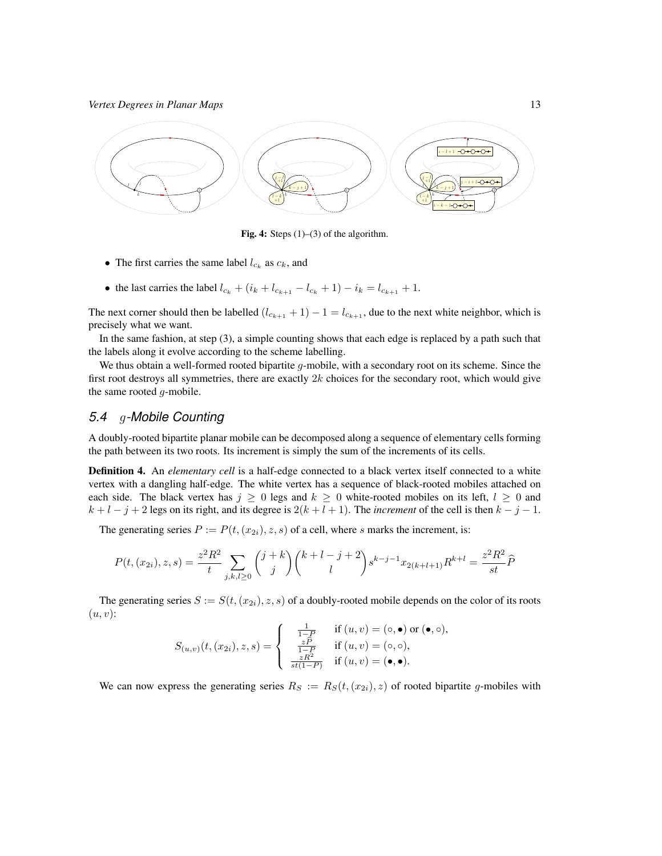

**Fig. 4:** Steps  $(1)$ – $(3)$  of the algorithm.

- The first carries the same label  $l_{c_k}$  as  $c_k$ , and
- the last carries the label  $l_{c_k} + (i_k + l_{c_{k+1}} l_{c_k} + 1) i_k = l_{c_{k+1}} + 1$ .

The next corner should then be labelled  $(l_{c_{k+1}} + 1) - 1 = l_{c_{k+1}}$ , due to the next white neighbor, which is precisely what we want.

In the same fashion, at step (3), a simple counting shows that each edge is replaced by a path such that the labels along it evolve according to the scheme labelling.

We thus obtain a well-formed rooted bipartite  $q$ -mobile, with a secondary root on its scheme. Since the first root destroys all symmetries, there are exactly  $2k$  choices for the secondary root, which would give the same rooted  $q$ -mobile.

### *5.4* g*-Mobile Counting*

A doubly-rooted bipartite planar mobile can be decomposed along a sequence of elementary cells forming the path between its two roots. Its increment is simply the sum of the increments of its cells.

Definition 4. An *elementary cell* is a half-edge connected to a black vertex itself connected to a white vertex with a dangling half-edge. The white vertex has a sequence of black-rooted mobiles attached on each side. The black vertex has  $j \ge 0$  legs and  $k \ge 0$  white-rooted mobiles on its left,  $l \ge 0$  and  $k + l - j + 2$  legs on its right, and its degree is  $2(k + l + 1)$ . The *increment* of the cell is then  $k - j - 1$ .

The generating series  $P := P(t, (x_{2i}), z, s)$  of a cell, where s marks the increment, is:

$$
P(t,(x_{2i}),z,s)=\frac{z^2R^2}{t}\sum_{j,k,l\geq 0}\binom{j+k}{j}\binom{k+l-j+2}{l}s^{k-j-1}x_{2(k+l+1)}R^{k+l}=\frac{z^2R^2}{st}\widehat{P}
$$

The generating series  $S := S(t, (x_{2i}), z, s)$  of a doubly-rooted mobile depends on the color of its roots  $(u, v)$ :

$$
S_{(u,v)}(t,(x_{2i}),z,s) = \begin{cases} \frac{1}{1-P} & \text{if } (u,v) = (\circ,\bullet) \text{ or } (\bullet,\circ),\\ \frac{\frac{z\widehat{P}}{1-P}}{\frac{zR^2}{st(1-P)}} & \text{if } (u,v) = (\circ,\circ), \end{cases}
$$

We can now express the generating series  $R_S := R_S(t,(x_{2i}), z)$  of rooted bipartite g-mobiles with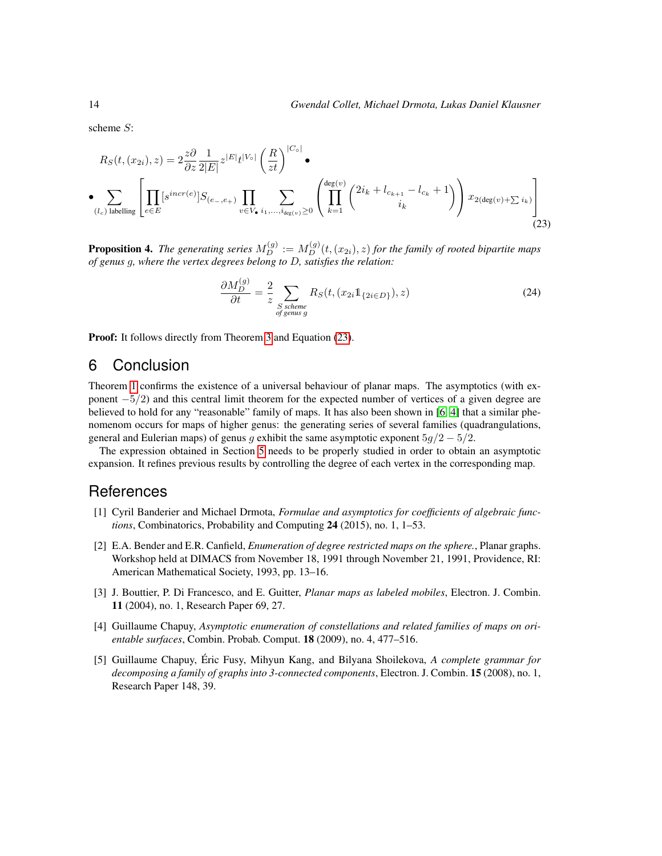scheme S:

$$
R_S(t, (x_{2i}), z) = 2 \frac{z \partial}{\partial z} \frac{1}{2|E|} z^{|E|} t^{|V_o|} \left(\frac{R}{zt}\right)^{|C_o|} \bullet
$$
  
\n• 
$$
\sum_{(l_c) \text{ labelling}} \left[ \prod_{e \in E} [s^{incr(e)}] S_{(e_-, e_+)} \prod_{v \in V_\bullet} \sum_{i_1, ..., i_{\text{deg}(v)} \ge 0} \left( \prod_{k=1}^{\text{deg}(v)} {2i_k + l_{c_{k+1}} - l_{c_k} + 1 \choose i_k} \right) x_{2(\text{deg}(v) + \sum i_k)} \right]
$$
(23)

**Proposition 4.** The generating series  $M_D^{(g)} := M_D^{(g)}(t,(x_{2i}),z)$  for the family of rooted bipartite maps *of genus* g*, where the vertex degrees belong to* D*, satisfies the relation:*

<span id="page-13-4"></span>
$$
\frac{\partial M_D^{(g)}}{\partial t} = \frac{2}{z} \sum_{\substack{S \text{ scheme} \\ \text{of genus } g}} R_S(t, (x_{2i} 1_{\{2i \in D\}}), z)
$$
(24)

Proof: It follows directly from Theorem [3](#page-9-1) and Equation [\(23\)](#page-13-4).

### 6 Conclusion

Theorem [1](#page-1-0) confirms the existence of a universal behaviour of planar maps. The asymptotics (with exponent  $-5/2$ ) and this central limit theorem for the expected number of vertices of a given degree are believed to hold for any "reasonable" family of maps. It has also been shown in [\[6,](#page-14-5) [4\]](#page-13-3) that a similar phenomenom occurs for maps of higher genus: the generating series of several families (quadrangulations, general and Eulerian maps) of genus g exhibit the same asymptotic exponent  $5g/2 - 5/2$ .

The expression obtained in Section [5](#page-8-0) needs to be properly studied in order to obtain an asymptotic expansion. It refines previous results by controlling the degree of each vertex in the corresponding map.

### **References**

- <span id="page-13-5"></span>[1] Cyril Banderier and Michael Drmota, *Formulae and asymptotics for coefficients of algebraic functions*, Combinatorics, Probability and Computing 24 (2015), no. 1, 1–53.
- <span id="page-13-0"></span>[2] E.A. Bender and E.R. Canfield, *Enumeration of degree restricted maps on the sphere.*, Planar graphs. Workshop held at DIMACS from November 18, 1991 through November 21, 1991, Providence, RI: American Mathematical Society, 1993, pp. 13–16.
- <span id="page-13-2"></span>[3] J. Bouttier, P. Di Francesco, and E. Guitter, *Planar maps as labeled mobiles*, Electron. J. Combin. 11 (2004), no. 1, Research Paper 69, 27.
- <span id="page-13-3"></span>[4] Guillaume Chapuy, *Asymptotic enumeration of constellations and related families of maps on orientable surfaces*, Combin. Probab. Comput. 18 (2009), no. 4, 477–516.
- <span id="page-13-1"></span>[5] Guillaume Chapuy, Éric Fusy, Mihyun Kang, and Bilyana Shoilekova, A complete grammar for *decomposing a family of graphs into 3-connected components*, Electron. J. Combin. 15 (2008), no. 1, Research Paper 148, 39.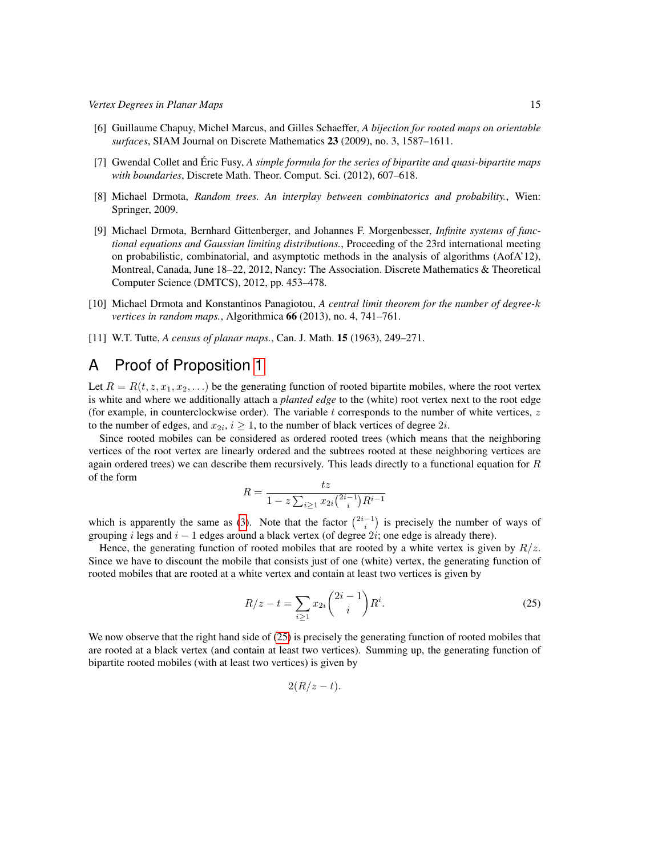- <span id="page-14-5"></span>[6] Guillaume Chapuy, Michel Marcus, and Gilles Schaeffer, *A bijection for rooted maps on orientable surfaces*, SIAM Journal on Discrete Mathematics 23 (2009), no. 3, 1587–1611.
- <span id="page-14-4"></span>[7] Gwendal Collet and Éric Fusy, A *simple formula for the series of bipartite and quasi-bipartite maps with boundaries*, Discrete Math. Theor. Comput. Sci. (2012), 607–618.
- <span id="page-14-3"></span>[8] Michael Drmota, *Random trees. An interplay between combinatorics and probability.*, Wien: Springer, 2009.
- <span id="page-14-1"></span>[9] Michael Drmota, Bernhard Gittenberger, and Johannes F. Morgenbesser, *Infinite systems of functional equations and Gaussian limiting distributions.*, Proceeding of the 23rd international meeting on probabilistic, combinatorial, and asymptotic methods in the analysis of algorithms (AofA'12), Montreal, Canada, June 18–22, 2012, Nancy: The Association. Discrete Mathematics & Theoretical Computer Science (DMTCS), 2012, pp. 453–478.
- <span id="page-14-2"></span>[10] Michael Drmota and Konstantinos Panagiotou, *A central limit theorem for the number of degree-*k *vertices in random maps.*, Algorithmica 66 (2013), no. 4, 741–761.
- <span id="page-14-0"></span>[11] W.T. Tutte, *A census of planar maps.*, Can. J. Math. 15 (1963), 249–271.

### A Proof of Proposition [1](#page-2-3)

Let  $R = R(t, z, x_1, x_2, ...)$  be the generating function of rooted bipartite mobiles, where the root vertex is white and where we additionally attach a *planted edge* to the (white) root vertex next to the root edge (for example, in counterclockwise order). The variable t corresponds to the number of white vertices,  $z$ to the number of edges, and  $x_{2i}$ ,  $i \ge 1$ , to the number of black vertices of degree  $2i$ .

Since rooted mobiles can be considered as ordered rooted trees (which means that the neighboring vertices of the root vertex are linearly ordered and the subtrees rooted at these neighboring vertices are again ordered trees) we can describe them recursively. This leads directly to a functional equation for  $R$ of the form

$$
R = \frac{tz}{1 - z \sum_{i \ge 1} x_{2i} {2i - 1 \choose i} R^{i-1}}
$$

which is apparently the same as [\(3\)](#page-2-4). Note that the factor  $\binom{2i-1}{i}$  is precisely the number of ways of grouping i legs and  $i - 1$  edges around a black vertex (of degree 2i; one edge is already there).

Hence, the generating function of rooted mobiles that are rooted by a white vertex is given by  $R/z$ . Since we have to discount the mobile that consists just of one (white) vertex, the generating function of rooted mobiles that are rooted at a white vertex and contain at least two vertices is given by

$$
R/z - t = \sum_{i \ge 1} x_{2i} {2i - 1 \choose i} R^i.
$$
 (25)

We now observe that the right hand side of [\(25\)](#page-14-6) is precisely the generating function of rooted mobiles that are rooted at a black vertex (and contain at least two vertices). Summing up, the generating function of bipartite rooted mobiles (with at least two vertices) is given by

<span id="page-14-6"></span>
$$
2(R/z-t).
$$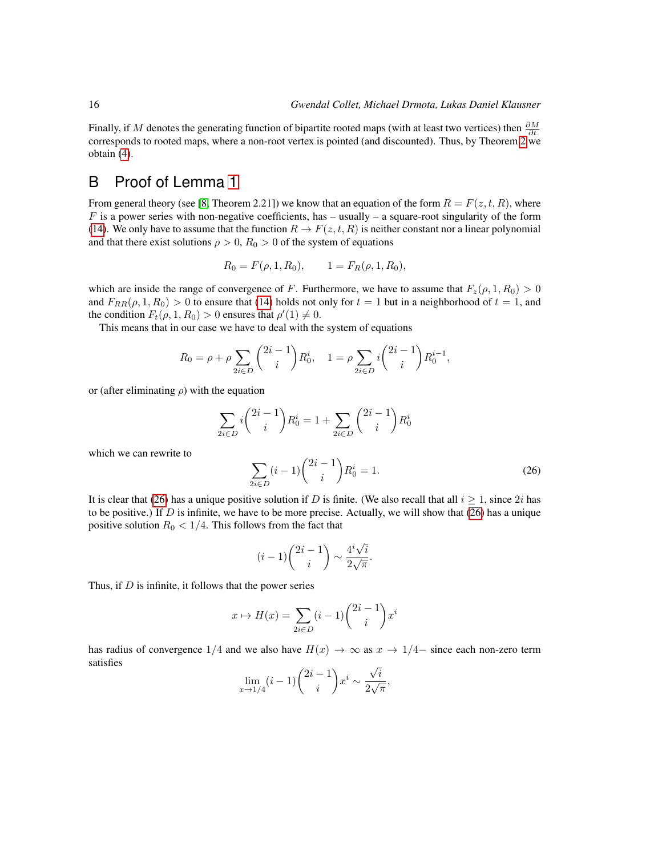Finally, if M denotes the generating function of bipartite rooted maps (with at least two vertices) then  $\frac{\partial M}{\partial t}$ corresponds to rooted maps, where a non-root vertex is pointed (and discounted). Thus, by Theorem [2](#page-2-2) we obtain [\(4\)](#page-2-1).

## B Proof of Lemma [1](#page-5-3)

From general theory (see [\[8,](#page-14-3) Theorem 2.21]) we know that an equation of the form  $R = F(z, t, R)$ , where  $F$  is a power series with non-negative coefficients, has – usually – a square-root singularity of the form [\(14\)](#page-5-4). We only have to assume that the function  $R \to F(z, t, R)$  is neither constant nor a linear polynomial and that there exist solutions  $\rho > 0$ ,  $R_0 > 0$  of the system of equations

$$
R_0 = F(\rho, 1, R_0), \qquad 1 = F_R(\rho, 1, R_0),
$$

which are inside the range of convergence of F. Furthermore, we have to assume that  $F_z(\rho, 1, R_0) > 0$ and  $F_{RR}(\rho, 1, R_0) > 0$  to ensure that [\(14\)](#page-5-4) holds not only for  $t = 1$  but in a neighborhood of  $t = 1$ , and the condition  $F_t(\rho, 1, R_0) > 0$  ensures that  $\rho'(1) \neq 0$ .

This means that in our case we have to deal with the system of equations

$$
R_0 = \rho + \rho \sum_{2i \in D} \binom{2i-1}{i} R_0^i, \quad 1 = \rho \sum_{2i \in D} i \binom{2i-1}{i} R_0^{i-1},
$$

or (after eliminating  $\rho$ ) with the equation

<span id="page-15-0"></span>
$$
\sum_{2i \in D} i \binom{2i-1}{i} R_0^i = 1 + \sum_{2i \in D} \binom{2i-1}{i} R_0^i
$$

which we can rewrite to

$$
\sum_{2i \in D} (i-1) \binom{2i-1}{i} R_0^i = 1.
$$
\n(26)

It is clear that [\(26\)](#page-15-0) has a unique positive solution if D is finite. (We also recall that all  $i \geq 1$ , since 2i has to be positive.) If D is infinite, we have to be more precise. Actually, we will show that  $(26)$  has a unique positive solution  $R_0 < 1/4$ . This follows from the fact that

$$
(i-1)\binom{2i-1}{i} \sim \frac{4^i\sqrt{i}}{2\sqrt{\pi}}.
$$

Thus, if  $D$  is infinite, it follows that the power series

$$
x \mapsto H(x) = \sum_{2i \in D} (i-1) \binom{2i-1}{i} x^i
$$

has radius of convergence 1/4 and we also have  $H(x) \to \infty$  as  $x \to 1/4-$  since each non-zero term satisfies

$$
\lim_{x \to 1/4} (i-1) \binom{2i-1}{i} x^i \sim \frac{\sqrt{i}}{2\sqrt{\pi}},
$$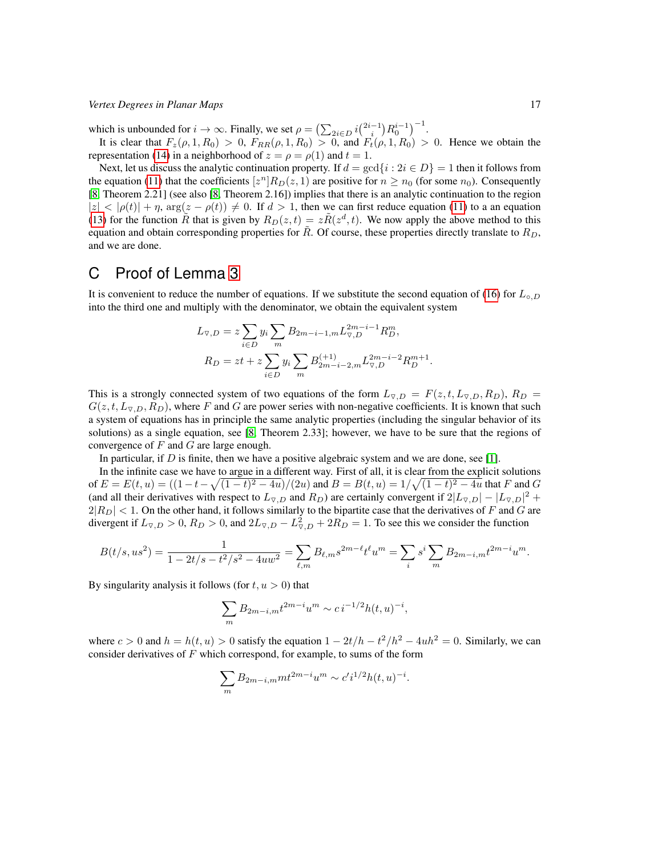which is unbounded for  $i \to \infty$ . Finally, we set  $\rho = \left(\sum_{2i \in D} i \binom{2i-1}{i} R_0^{i-1}\right)^{-1}$ .

It is clear that  $F_z(\rho, 1, R_0) > 0$ ,  $F_{RR}(\rho, 1, R_0) > 0$ , and  $F_t(\rho, 1, R_0) > 0$ . Hence we obtain the representation [\(14\)](#page-5-4) in a neighborhood of  $z = \rho = \rho(1)$  and  $t = 1$ .

Next, let us discuss the analytic continuation property. If  $d = \gcd\{i : 2i \in D\} = 1$  then it follows from the equation [\(11\)](#page-5-0) that the coefficients  $[z^n]R_D(z, 1)$  are positive for  $n \ge n_0$  (for some  $n_0$ ). Consequently [\[8,](#page-14-3) Theorem 2.21] (see also [\[8,](#page-14-3) Theorem 2.16]) implies that there is an analytic continuation to the region  $|z| < |\rho(t)| + \eta$ ,  $\arg(z - \rho(t)) \neq 0$ . If  $d > 1$ , then we can first reduce equation [\(11\)](#page-5-0) to a an equation [\(13\)](#page-5-5) for the function  $\tilde{R}$  that is given by  $R_D(z,t) = z\tilde{R}(z^d, t)$ . We now apply the above method to this equation and obtain corresponding properties for  $\tilde{R}$ . Of course, these properties directly translate to  $R_D$ , and we are done.

### C Proof of Lemma [3](#page-6-0)

It is convenient to reduce the number of equations. If we substitute the second equation of [\(16\)](#page-6-1) for  $L_{\circ, D}$ into the third one and multiply with the denominator, we obtain the equivalent system

$$
L_{\nabla,D} = z \sum_{i \in D} y_i \sum_m B_{2m-i-1,m} L_{\nabla,D}^{2m-i-1} R_D^m,
$$
  

$$
R_D = zt + z \sum_{i \in D} y_i \sum_m B_{2m-i-2,m}^{(+1)} L_{\nabla,D}^{2m-i-2} R_D^{m+1}.
$$

This is a strongly connected system of two equations of the form  $L_{\nabla,D} = F(z, t, L_{\nabla,D}, R_D)$ ,  $R_D =$  $G(z, t, L_{\nabla,D}, R_D)$ , where F and G are power series with non-negative coefficients. It is known that such a system of equations has in principle the same analytic properties (including the singular behavior of its solutions) as a single equation, see [\[8,](#page-14-3) Theorem 2.33]; however, we have to be sure that the regions of convergence of  $F$  and  $G$  are large enough.

In particular, if  $D$  is finite, then we have a positive algebraic system and we are done, see [\[1\]](#page-13-5).

In the infinite case we have to argue in a different way. First of all, it is clear from the explicit solutions of  $E = E(t, u) = ((1 - t - \sqrt{(1 - t)^2 - 4u})/(2u)$  and  $B = B(t, u) = 1/\sqrt{(1 - t)^2 - 4u}$  that F and G (and all their derivatives with respect to  $L_{\nabla,D}$  and  $R_D$ ) are certainly convergent if  $2|L_{\nabla,D}| - |L_{\nabla,D}|^2 +$  $2|R_D|$  < 1. On the other hand, it follows similarly to the bipartite case that the derivatives of F and G are divergent if  $L_{\nabla,D} > 0$ ,  $R_D > 0$ , and  $2L_{\nabla,D} - L_{\nabla,D}^2 + 2R_D = 1$ . To see this we consider the function

$$
B(t/s,us^2) = \frac{1}{1 - 2t/s - t^2/s^2 - 4uw^2} = \sum_{\ell,m} B_{\ell,m} s^{2m - \ell} t^{\ell} u^m = \sum_i s^i \sum_m B_{2m - i,m} t^{2m - i} u^m.
$$

By singularity analysis it follows (for  $t, u > 0$ ) that

$$
\sum_{m} B_{2m-i,m} t^{2m-i} u^m \sim c i^{-1/2} h(t, u)^{-i},
$$

where  $c > 0$  and  $h = h(t, u) > 0$  satisfy the equation  $1 - 2t/h - t^2/h^2 - 4uh^2 = 0$ . Similarly, we can consider derivatives of  $F$  which correspond, for example, to sums of the form

$$
\sum_{m} B_{2m-i,m} m t^{2m-i} u^m \sim c' i^{1/2} h(t, u)^{-i}.
$$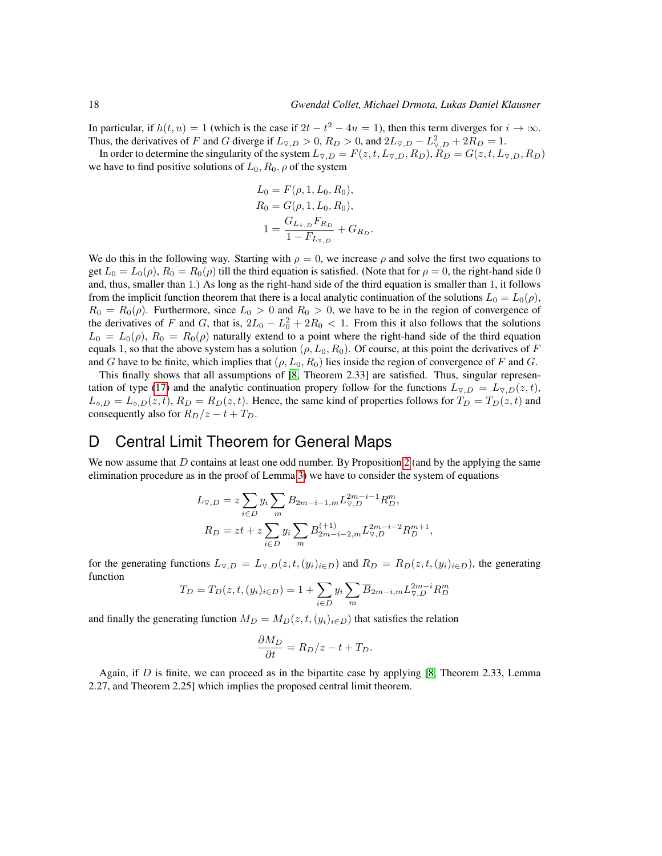In particular, if  $h(t, u) = 1$  (which is the case if  $2t - t^2 - 4u = 1$ ), then this term diverges for  $i \to \infty$ . Thus, the derivatives of F and G diverge if  $L_{\nabla,D} > 0$ ,  $R_D > 0$ , and  $2L_{\nabla,D} - L_{\nabla,D}^2 + 2R_D = 1$ .

In order to determine the singularity of the system  $L_{\nabla,D} = F(z, t, L_{\nabla,D}, R_D)$ ,  $R_D = G(z, t, L_{\nabla,D}, R_D)$ we have to find positive solutions of  $L_0$ ,  $R_0$ ,  $\rho$  of the system

$$
L_0 = F(\rho, 1, L_0, R_0),
$$
  
\n
$$
R_0 = G(\rho, 1, L_0, R_0),
$$
  
\n
$$
1 = \frac{G_{L_{\nabla,D}} F_{R_D}}{1 - F_{L_{\nabla,D}}} + G_{R_D}.
$$

We do this in the following way. Starting with  $\rho = 0$ , we increase  $\rho$  and solve the first two equations to get  $L_0 = L_0(\rho)$ ,  $R_0 = R_0(\rho)$  till the third equation is satisfied. (Note that for  $\rho = 0$ , the right-hand side 0 and, thus, smaller than 1.) As long as the right-hand side of the third equation is smaller than 1, it follows from the implicit function theorem that there is a local analytic continuation of the solutions  $L_0 = L_0(\rho)$ ,  $R_0 = R_0(\rho)$ . Furthermore, since  $L_0 > 0$  and  $R_0 > 0$ , we have to be in the region of convergence of the derivatives of F and G, that is,  $2L_0 - L_0^2 + 2R_0 < 1$ . From this it also follows that the solutions  $L_0 = L_0(\rho)$ ,  $R_0 = R_0(\rho)$  naturally extend to a point where the right-hand side of the third equation equals 1, so that the above system has a solution  $(\rho, L_0, R_0)$ . Of course, at this point the derivatives of F and G have to be finite, which implies that  $(\rho, L_0, R_0)$  lies inside the region of convergence of F and G.

This finally shows that all assumptions of [\[8,](#page-14-3) Theorem 2.33] are satisfied. Thus, singular represen-tation of type [\(17\)](#page-6-2) and the analytic continuation propery follow for the functions  $L_{\nabla,D} = L_{\nabla,D}(z, t)$ ,  $L_{\circ, D} = L_{\circ, D}(z, t)$ ,  $R_D = R_D(z, t)$ . Hence, the same kind of properties follows for  $T_D = T_D(z, t)$  and consequently also for  $R_D/z - t + T_D$ .

# D Central Limit Theorem for General Maps

We now assume that  $D$  contains at least one odd number. By Proposition [2](#page-4-4) (and by the applying the same elimination procedure as in the proof of Lemma [3\)](#page-6-0) we have to consider the system of equations

$$
L_{\nabla,D} = z \sum_{i \in D} y_i \sum_m B_{2m-i-1,m} L_{\nabla,D}^{2m-i-1} R_D^m,
$$
  

$$
R_D = zt + z \sum_{i \in D} y_i \sum_m B_{2m-i-2,m}^{(+1)} L_{\nabla,D}^{2m-i-2} R_D^{m+1},
$$

for the generating functions  $L_{\nabla,D} = L_{\nabla,D}(z,t,(y_i)_{i\in D})$  and  $R_D = R_D(z,t,(y_i)_{i\in D})$ , the generating function

$$
T_D = T_D(z, t, (y_i)_{i \in D}) = 1 + \sum_{i \in D} y_i \sum_m \overline{B}_{2m-i,m} L_{\nabla, D}^{2m-i} R_D^m
$$

and finally the generating function  $M_D = M_D(z, t, (y_i)_{i \in D})$  that satisfies the relation

$$
\frac{\partial M_D}{\partial t} = R_D/z - t + T_D.
$$

Again, if  $D$  is finite, we can proceed as in the bipartite case by applying [\[8,](#page-14-3) Theorem 2.33, Lemma 2.27, and Theorem 2.25] which implies the proposed central limit theorem.